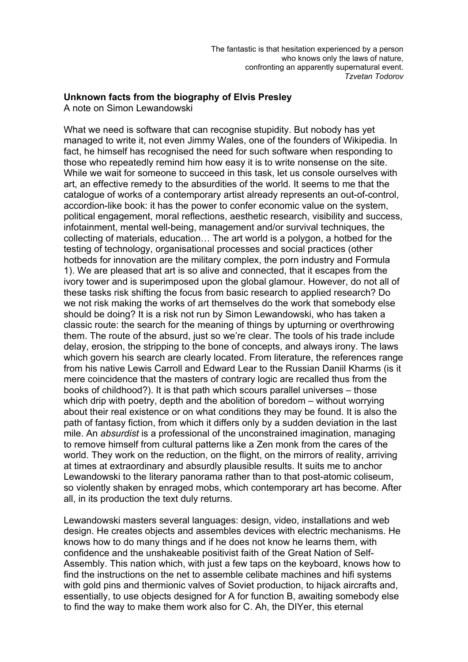## **Unknown facts from the biography of Elvis Presley**

A note on Simon Lewandowski

What we need is software that can recognise stupidity. But nobody has yet managed to write it, not even Jimmy Wales, one of the founders of Wikipedia. In fact, he himself has recognised the need for such software when responding to those who repeatedly remind him how easy it is to write nonsense on the site. While we wait for someone to succeed in this task, let us console ourselves with art, an effective remedy to the absurdities of the world. It seems to me that the catalogue of works of a contemporary artist already represents an out-of-control, accordion-like book: it has the power to confer economic value on the system, political engagement, moral reflections, aesthetic research, visibility and success, infotainment, mental well-being, management and/or survival techniques, the collecting of materials, education… The art world is a polygon, a hotbed for the testing of technology, organisational processes and social practices (other hotbeds for innovation are the military complex, the porn industry and Formula 1). We are pleased that art is so alive and connected, that it escapes from the ivory tower and is superimposed upon the global glamour. However, do not all of these tasks risk shifting the focus from basic research to applied research? Do we not risk making the works of art themselves do the work that somebody else should be doing? It is a risk not run by Simon Lewandowski, who has taken a classic route: the search for the meaning of things by upturning or overthrowing them. The route of the absurd, just so we're clear. The tools of his trade include delay, erosion, the stripping to the bone of concepts, and always irony. The laws which govern his search are clearly located. From literature, the references range from his native Lewis Carroll and Edward Lear to the Russian Daniil Kharms (is it mere coincidence that the masters of contrary logic are recalled thus from the books of childhood?). It is that path which scours parallel universes – those which drip with poetry, depth and the abolition of boredom – without worrying about their real existence or on what conditions they may be found. It is also the path of fantasy fiction, from which it differs only by a sudden deviation in the last mile. An *absurdist* is a professional of the unconstrained imagination, managing to remove himself from cultural patterns like a Zen monk from the cares of the world. They work on the reduction, on the flight, on the mirrors of reality, arriving at times at extraordinary and absurdly plausible results. It suits me to anchor Lewandowski to the literary panorama rather than to that post-atomic coliseum, so violently shaken by enraged mobs, which contemporary art has become. After all, in its production the text duly returns.

Lewandowski masters several languages: design, video, installations and web design. He creates objects and assembles devices with electric mechanisms. He knows how to do many things and if he does not know he learns them, with confidence and the unshakeable positivist faith of the Great Nation of Self-Assembly. This nation which, with just a few taps on the keyboard, knows how to find the instructions on the net to assemble celibate machines and hifi systems with gold pins and thermionic valves of Soviet production, to hijack aircrafts and, essentially, to use objects designed for A for function B, awaiting somebody else to find the way to make them work also for C. Ah, the DIYer, this eternal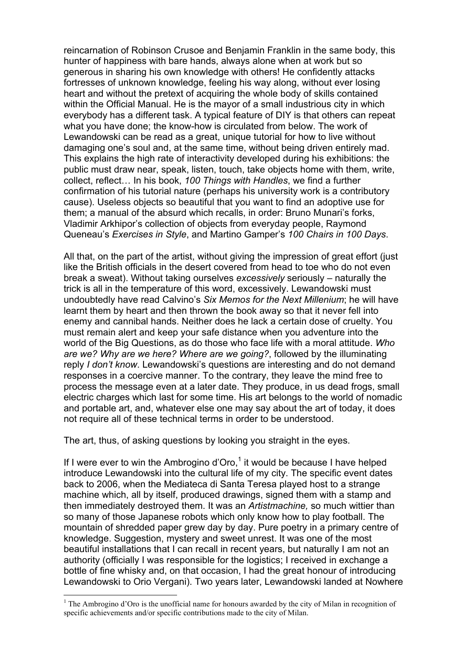reincarnation of Robinson Crusoe and Benjamin Franklin in the same body, this hunter of happiness with bare hands, always alone when at work but so generous in sharing his own knowledge with others! He confidently attacks fortresses of unknown knowledge, feeling his way along, without ever losing heart and without the pretext of acquiring the whole body of skills contained within the Official Manual. He is the mayor of a small industrious city in which everybody has a different task. A typical feature of DIY is that others can repeat what you have done; the know-how is circulated from below. The work of Lewandowski can be read as a great, unique tutorial for how to live without damaging one's soul and, at the same time, without being driven entirely mad. This explains the high rate of interactivity developed during his exhibitions: the public must draw near, speak, listen, touch, take objects home with them, write, collect, reflect… In his book, *100 Things with Handles*, we find a further confirmation of his tutorial nature (perhaps his university work is a contributory cause). Useless objects so beautiful that you want to find an adoptive use for them; a manual of the absurd which recalls, in order: Bruno Munari's forks, Vladimir Arkhipor's collection of objects from everyday people, Raymond Queneau's *Exercises in Style*, and Martino Gamper's *100 Chairs in 100 Days*.

All that, on the part of the artist, without giving the impression of great effort (just like the British officials in the desert covered from head to toe who do not even break a sweat). Without taking ourselves *excessively* seriously – naturally the trick is all in the temperature of this word, excessively. Lewandowski must undoubtedly have read Calvino's *Six Memos for the Next Millenium*; he will have learnt them by heart and then thrown the book away so that it never fell into enemy and cannibal hands. Neither does he lack a certain dose of cruelty. You must remain alert and keep your safe distance when you adventure into the world of the Big Questions, as do those who face life with a moral attitude. *Who are we? Why are we here? Where are we going?*, followed by the illuminating reply *I don't know*. Lewandowski's questions are interesting and do not demand responses in a coercive manner. To the contrary, they leave the mind free to process the message even at a later date. They produce, in us dead frogs, small electric charges which last for some time. His art belongs to the world of nomadic and portable art, and, whatever else one may say about the art of today, it does not require all of these technical terms in order to be understood.

The art, thus, of asking questions by looking you straight in the eyes.

If I were ever to win the Ambrogino d'Oro, $1$  it would be because I have helped introduce Lewandowski into the cultural life of my city. The specific event dates back to 2006, when the Mediateca di Santa Teresa played host to a strange machine which, all by itself, produced drawings, signed them with a stamp and then immediately destroyed them. It was an *Artistmachine,* so much wittier than so many of those Japanese robots which only know how to play football. The mountain of shredded paper grew day by day. Pure poetry in a primary centre of knowledge. Suggestion, mystery and sweet unrest. It was one of the most beautiful installations that I can recall in recent years, but naturally I am not an authority (officially I was responsible for the logistics; I received in exchange a bottle of fine whisky and, on that occasion, I had the great honour of introducing Lewandowski to Orio Vergani). Two years later, Lewandowski landed at Nowhere

<sup>&</sup>lt;sup>1</sup> The Ambrogino d'Oro is the unofficial name for honours awarded by the city of Milan in recognition of specific achievements and/or specific contributions made to the city of Milan.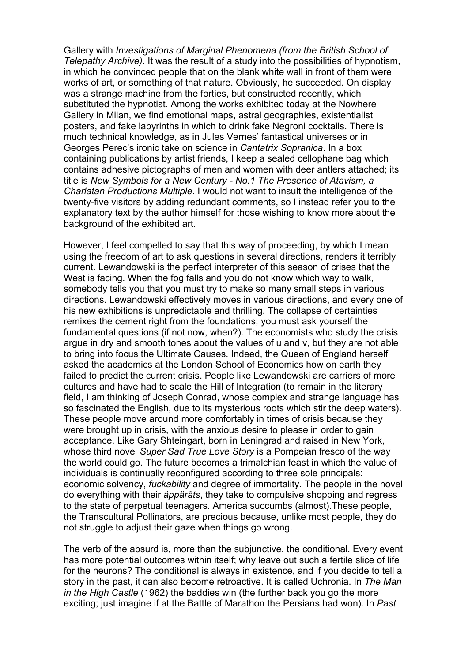Gallery with *Investigations of Marginal Phenomena (from the British School of Telepathy Archive)*. It was the result of a study into the possibilities of hypnotism, in which he convinced people that on the blank white wall in front of them were works of art, or something of that nature. Obviously, he succeeded. On display was a strange machine from the forties, but constructed recently, which substituted the hypnotist. Among the works exhibited today at the Nowhere Gallery in Milan, we find emotional maps, astral geographies, existentialist posters, and fake labyrinths in which to drink fake Negroni cocktails. There is much technical knowledge, as in Jules Vernes' fantastical universes or in Georges Perec's ironic take on science in *Cantatrix Sopranica*. In a box containing publications by artist friends, I keep a sealed cellophane bag which contains adhesive pictographs of men and women with deer antlers attached; its title is *New Symbols for a New Century - No.1 The Presence of Atavism, a Charlatan Productions Multiple*. I would not want to insult the intelligence of the twenty-five visitors by adding redundant comments, so I instead refer you to the explanatory text by the author himself for those wishing to know more about the background of the exhibited art.

However, I feel compelled to say that this way of proceeding, by which I mean using the freedom of art to ask questions in several directions, renders it terribly current. Lewandowski is the perfect interpreter of this season of crises that the West is facing. When the fog falls and you do not know which way to walk, somebody tells you that you must try to make so many small steps in various directions. Lewandowski effectively moves in various directions, and every one of his new exhibitions is unpredictable and thrilling. The collapse of certainties remixes the cement right from the foundations; you must ask yourself the fundamental questions (if not now, when?). The economists who study the crisis argue in dry and smooth tones about the values of u and v, but they are not able to bring into focus the Ultimate Causes. Indeed, the Queen of England herself asked the academics at the London School of Economics how on earth they failed to predict the current crisis. People like Lewandowski are carriers of more cultures and have had to scale the Hill of Integration (to remain in the literary field, I am thinking of Joseph Conrad, whose complex and strange language has so fascinated the English, due to its mysterious roots which stir the deep waters). These people move around more comfortably in times of crisis because they were brought up in crisis, with the anxious desire to please in order to gain acceptance. Like Gary Shteingart, born in Leningrad and raised in New York, whose third novel *Super Sad True Love Story* is a Pompeian fresco of the way the world could go. The future becomes a trimalchian feast in which the value of individuals is continually reconfigured according to three sole principals: economic solvency, *fuckability* and degree of immortality. The people in the novel do everything with their *äppäräts*, they take to compulsive shopping and regress to the state of perpetual teenagers. America succumbs (almost).These people, the Transcultural Pollinators, are precious because, unlike most people, they do not struggle to adjust their gaze when things go wrong.

The verb of the absurd is, more than the subjunctive, the conditional. Every event has more potential outcomes within itself; why leave out such a fertile slice of life for the neurons? The conditional is always in existence, and if you decide to tell a story in the past, it can also become retroactive. It is called Uchronia. In *The Man in the High Castle* (1962) the baddies win (the further back you go the more exciting; just imagine if at the Battle of Marathon the Persians had won). In *Past*